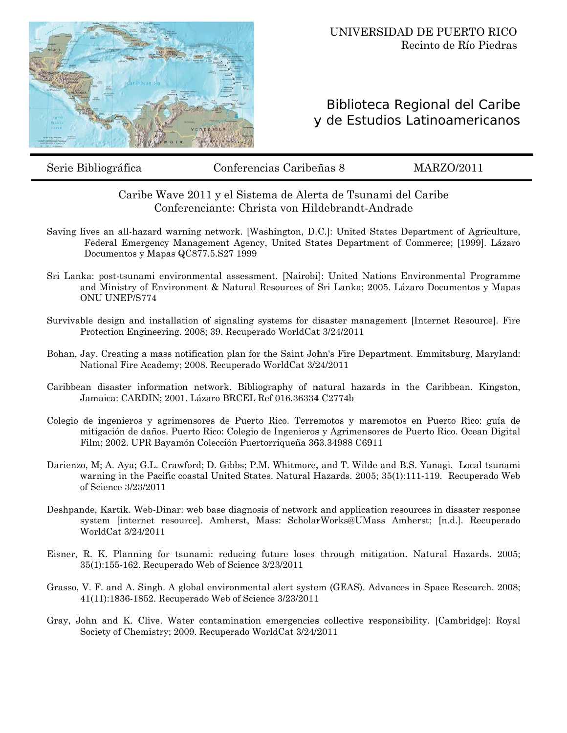

## Biblioteca Regional del Caribe y de Estudios Latinoamericanos

Serie Bibliográfica

Conferencias Caribeñas 8

**MARZO/2011** 

## Caribe Wave 2011 y el Sistema de Alerta de Tsunami del Caribe Conferenciante: Christa von Hildebrandt-Andrade

- Saving lives an all-hazard warning network. [Washington, D.C.]: United States Department of Agriculture, Federal Emergency Management Agency, United States Department of Commerce; [1999]. Lázaro Documentos y Mapas QC877.5.S27 1999
- Sri Lanka: post-tsunami environmental assessment. [Nairobi]: United Nations Environmental Programme and Ministry of Environment & Natural Resources of Sri Lanka; 2005. Lázaro Documentos y Mapas ONU UNEP/S774
- Survivable design and installation of signaling systems for disaster management [Internet Resource]. Fire Protection Engineering. 2008; 39. Recuperado WorldCat 3/24/2011
- Bohan, Jay. Creating a mass notification plan for the Saint John's Fire Department. Emmitsburg, Maryland: National Fire Academy; 2008. Recuperado WorldCat 3/24/2011
- Caribbean disaster information network. Bibliography of natural hazards in the Caribbean. Kingston, Jamaica: CARDIN; 2001. Lázaro BRCEL Ref 016.36334 C2774b
- Colegio de ingenieros y agrimensores de Puerto Rico. Terremotos y maremotos en Puerto Rico: guía de mitigación de daños. Puerto Rico: Colegio de Ingenieros y Agrimensores de Puerto Rico. Ocean Digital Film; 2002. UPR Bayamón Colección Puertorriqueña 363.34988 C6911
- Darienzo, M; A. Aya; G.L. Crawford; D. Gibbs; P.M. Whitmore, and T. Wilde and B.S. Yanagi. Local tsunami warning in the Pacific coastal United States. Natural Hazards. 2005; 35(1):111-119. Recuperado Web of Science 3/23/2011
- Deshpande, Kartik. Web-Dinar: web base diagnosis of network and application resources in disaster response system [internet resource]. Amherst, Mass: ScholarWorks@UMass Amherst; [n.d.]. Recuperado WorldCat 3/24/2011
- Eisner, R. K. Planning for tsunami: reducing future loses through mitigation. Natural Hazards. 2005; 35(1):155-162. Recuperado Web of Science 3/23/2011
- Grasso, V. F. and A. Singh. A global environmental alert system (GEAS). Advances in Space Research. 2008; 41(11):1836-1852. Recuperado Web of Science 3/23/2011
- Gray, John and K. Clive. Water contamination emergencies collective responsibility. [Cambridge]: Royal Society of Chemistry; 2009. Recuperado WorldCat 3/24/2011